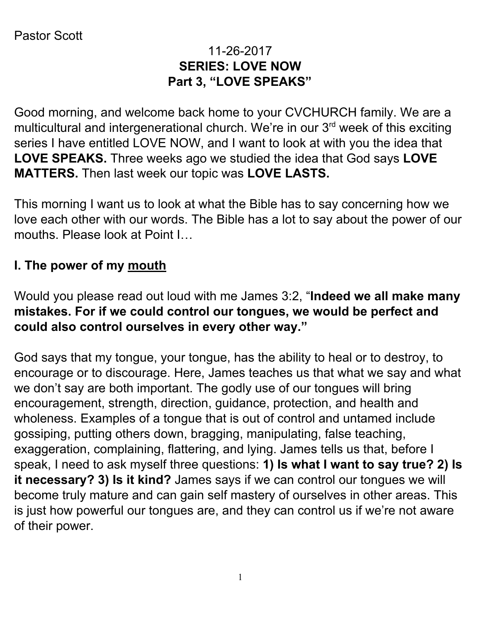### 11-26-2017 **SERIES: LOVE NOW Part 3, "LOVE SPEAKS"**

Good morning, and welcome back home to your CVCHURCH family. We are a multicultural and intergenerational church. We're in our 3<sup>rd</sup> week of this exciting series I have entitled LOVE NOW, and I want to look at with you the idea that **LOVE SPEAKS.** Three weeks ago we studied the idea that God says **LOVE MATTERS.** Then last week our topic was **LOVE LASTS.**

This morning I want us to look at what the Bible has to say concerning how we love each other with our words. The Bible has a lot to say about the power of our mouths. Please look at Point I…

#### **I. The power of my mouth**

Would you please read out loud with me James 3:2, "**Indeed we all make many mistakes. For if we could control our tongues, we would be perfect and could also control ourselves in every other way."**

God says that my tongue, your tongue, has the ability to heal or to destroy, to encourage or to discourage. Here, James teaches us that what we say and what we don't say are both important. The godly use of our tongues will bring encouragement, strength, direction, guidance, protection, and health and wholeness. Examples of a tongue that is out of control and untamed include gossiping, putting others down, bragging, manipulating, false teaching, exaggeration, complaining, flattering, and lying. James tells us that, before I speak, I need to ask myself three questions: **1) Is what I want to say true? 2) Is it necessary? 3) Is it kind?** James says if we can control our tongues we will become truly mature and can gain self mastery of ourselves in other areas. This is just how powerful our tongues are, and they can control us if we're not aware of their power.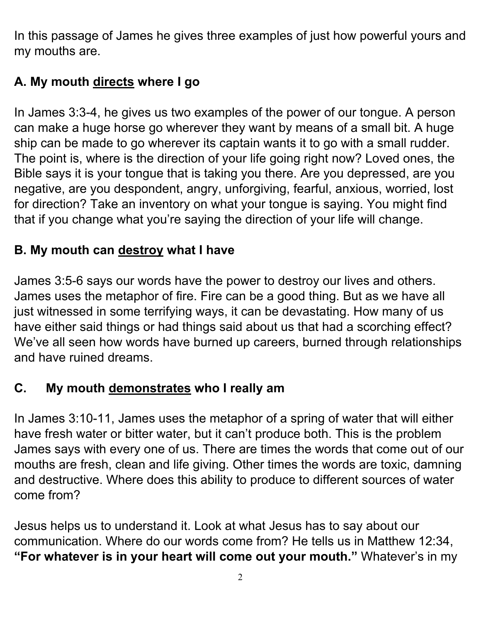In this passage of James he gives three examples of just how powerful yours and my mouths are.

# **A. My mouth directs where I go**

In James 3:3-4, he gives us two examples of the power of our tongue. A person can make a huge horse go wherever they want by means of a small bit. A huge ship can be made to go wherever its captain wants it to go with a small rudder. The point is, where is the direction of your life going right now? Loved ones, the Bible says it is your tongue that is taking you there. Are you depressed, are you negative, are you despondent, angry, unforgiving, fearful, anxious, worried, lost for direction? Take an inventory on what your tongue is saying. You might find that if you change what you're saying the direction of your life will change.

## **B. My mouth can destroy what I have**

James 3:5-6 says our words have the power to destroy our lives and others. James uses the metaphor of fire. Fire can be a good thing. But as we have all just witnessed in some terrifying ways, it can be devastating. How many of us have either said things or had things said about us that had a scorching effect? We've all seen how words have burned up careers, burned through relationships and have ruined dreams.

# **C. My mouth demonstrates who I really am**

In James 3:10-11, James uses the metaphor of a spring of water that will either have fresh water or bitter water, but it can't produce both. This is the problem James says with every one of us. There are times the words that come out of our mouths are fresh, clean and life giving. Other times the words are toxic, damning and destructive. Where does this ability to produce to different sources of water come from?

Jesus helps us to understand it. Look at what Jesus has to say about our communication. Where do our words come from? He tells us in Matthew 12:34, **"For whatever is in your heart will come out your mouth."** Whatever's in my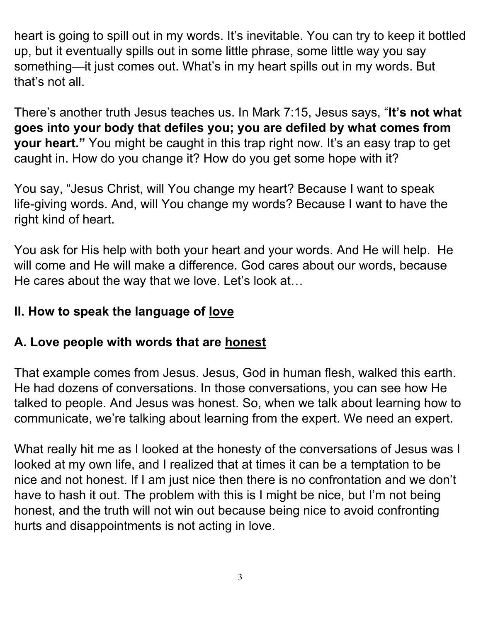heart is going to spill out in my words. It's inevitable. You can try to keep it bottled up, but it eventually spills out in some little phrase, some little way you say something—it just comes out. What's in my heart spills out in my words. But that's not all.

There's another truth Jesus teaches us. In Mark 7:15, Jesus says, "**It's not what goes into your body that defiles you; you are defiled by what comes from your heart."** You might be caught in this trap right now. It's an easy trap to get caught in. How do you change it? How do you get some hope with it?

You say, "Jesus Christ, will You change my heart? Because I want to speak life-giving words. And, will You change my words? Because I want to have the right kind of heart.

You ask for His help with both your heart and your words. And He will help. He will come and He will make a difference. God cares about our words, because He cares about the way that we love. Let's look at...

## **II. How to speak the language of love**

#### **A. Love people with words that are honest**

That example comes from Jesus. Jesus, God in human flesh, walked this earth. He had dozens of conversations. In those conversations, you can see how He talked to people. And Jesus was honest. So, when we talk about learning how to communicate, we're talking about learning from the expert. We need an expert.

What really hit me as I looked at the honesty of the conversations of Jesus was I looked at my own life, and I realized that at times it can be a temptation to be nice and not honest. If I am just nice then there is no confrontation and we don't have to hash it out. The problem with this is I might be nice, but I'm not being honest, and the truth will not win out because being nice to avoid confronting hurts and disappointments is not acting in love.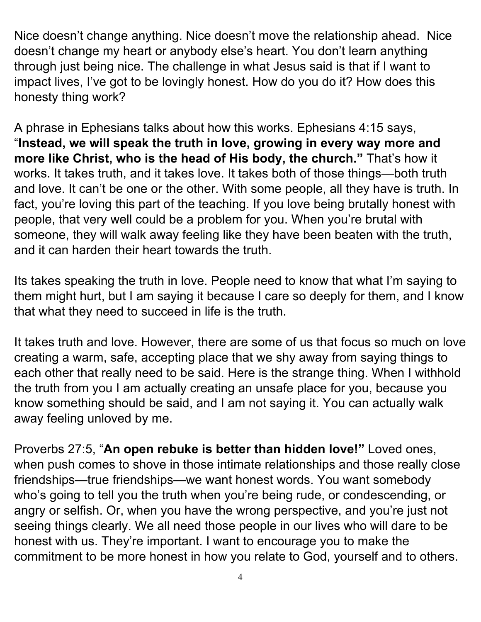Nice doesn't change anything. Nice doesn't move the relationship ahead. Nice doesn't change my heart or anybody else's heart. You don't learn anything through just being nice. The challenge in what Jesus said is that if I want to impact lives, I've got to be lovingly honest. How do you do it? How does this honesty thing work?

A phrase in Ephesians talks about how this works. Ephesians 4:15 says, "**Instead, we will speak the truth in love, growing in every way more and more like Christ, who is the head of His body, the church."** That's how it works. It takes truth, and it takes love. It takes both of those things—both truth and love. It can't be one or the other. With some people, all they have is truth. In fact, you're loving this part of the teaching. If you love being brutally honest with people, that very well could be a problem for you. When you're brutal with someone, they will walk away feeling like they have been beaten with the truth, and it can harden their heart towards the truth.

Its takes speaking the truth in love. People need to know that what I'm saying to them might hurt, but I am saying it because I care so deeply for them, and I know that what they need to succeed in life is the truth.

It takes truth and love. However, there are some of us that focus so much on love creating a warm, safe, accepting place that we shy away from saying things to each other that really need to be said. Here is the strange thing. When I withhold the truth from you I am actually creating an unsafe place for you, because you know something should be said, and I am not saying it. You can actually walk away feeling unloved by me.

Proverbs 27:5, "**An open rebuke is better than hidden love!"** Loved ones, when push comes to shove in those intimate relationships and those really close friendships—true friendships—we want honest words. You want somebody who's going to tell you the truth when you're being rude, or condescending, or angry or selfish. Or, when you have the wrong perspective, and you're just not seeing things clearly. We all need those people in our lives who will dare to be honest with us. They're important. I want to encourage you to make the commitment to be more honest in how you relate to God, yourself and to others.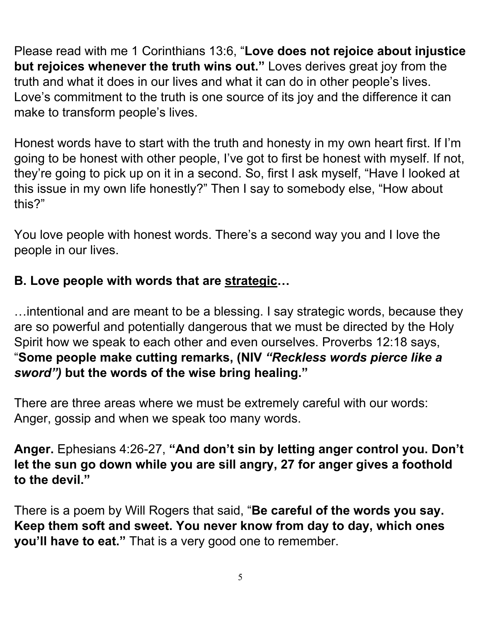Please read with me 1 Corinthians 13:6, "**Love does not rejoice about injustice but rejoices whenever the truth wins out."** Loves derives great joy from the truth and what it does in our lives and what it can do in other people's lives. Love's commitment to the truth is one source of its joy and the difference it can make to transform people's lives.

Honest words have to start with the truth and honesty in my own heart first. If I'm going to be honest with other people, I've got to first be honest with myself. If not, they're going to pick up on it in a second. So, first I ask myself, "Have I looked at this issue in my own life honestly?" Then I say to somebody else, "How about this?"

You love people with honest words. There's a second way you and I love the people in our lives.

## **B. Love people with words that are strategic…**

…intentional and are meant to be a blessing. I say strategic words, because they are so powerful and potentially dangerous that we must be directed by the Holy Spirit how we speak to each other and even ourselves. Proverbs 12:18 says, "**Some people make cutting remarks, (NIV** *"Reckless words pierce like a sword")* **but the words of the wise bring healing."**

There are three areas where we must be extremely careful with our words: Anger, gossip and when we speak too many words.

**Anger.** Ephesians 4:26-27, **"And don't sin by letting anger control you. Don't let the sun go down while you are sill angry, 27 for anger gives a foothold to the devil."**

There is a poem by Will Rogers that said, "**Be careful of the words you say. Keep them soft and sweet. You never know from day to day, which ones you'll have to eat."** That is a very good one to remember.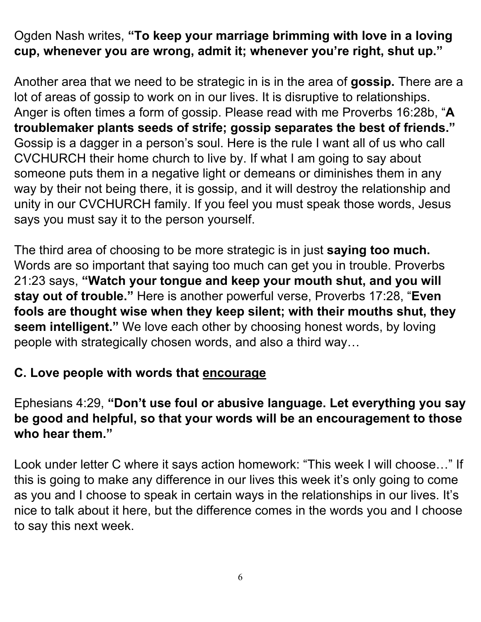Ogden Nash writes, **"To keep your marriage brimming with love in a loving cup, whenever you are wrong, admit it; whenever you're right, shut up."**

Another area that we need to be strategic in is in the area of **gossip.** There are a lot of areas of gossip to work on in our lives. It is disruptive to relationships. Anger is often times a form of gossip. Please read with me Proverbs 16:28b, "**A troublemaker plants seeds of strife; gossip separates the best of friends."** Gossip is a dagger in a person's soul. Here is the rule I want all of us who call CVCHURCH their home church to live by. If what I am going to say about someone puts them in a negative light or demeans or diminishes them in any way by their not being there, it is gossip, and it will destroy the relationship and unity in our CVCHURCH family. If you feel you must speak those words, Jesus says you must say it to the person yourself.

The third area of choosing to be more strategic is in just **saying too much.** Words are so important that saying too much can get you in trouble. Proverbs 21:23 says, **"Watch your tongue and keep your mouth shut, and you will stay out of trouble."** Here is another powerful verse, Proverbs 17:28, "**Even fools are thought wise when they keep silent; with their mouths shut, they seem intelligent."** We love each other by choosing honest words, by loving people with strategically chosen words, and also a third way…

#### **C. Love people with words that encourage**

#### Ephesians 4:29, **"Don't use foul or abusive language. Let everything you say be good and helpful, so that your words will be an encouragement to those who hear them."**

Look under letter C where it says action homework: "This week I will choose…" If this is going to make any difference in our lives this week it's only going to come as you and I choose to speak in certain ways in the relationships in our lives. It's nice to talk about it here, but the difference comes in the words you and I choose to say this next week.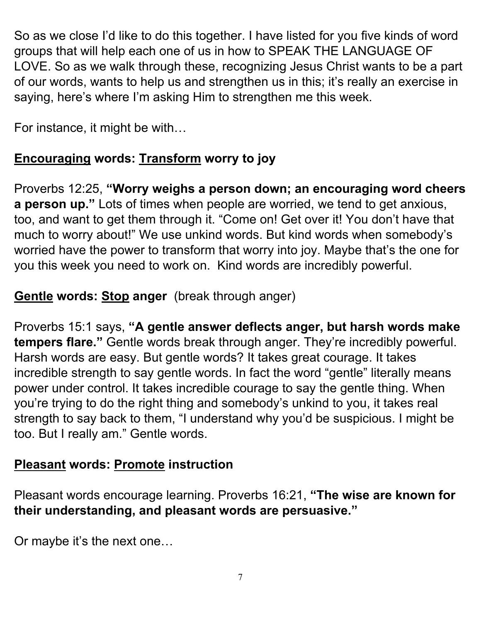So as we close I'd like to do this together. I have listed for you five kinds of word groups that will help each one of us in how to SPEAK THE LANGUAGE OF LOVE. So as we walk through these, recognizing Jesus Christ wants to be a part of our words, wants to help us and strengthen us in this; it's really an exercise in saying, here's where I'm asking Him to strengthen me this week.

For instance, it might be with…

# **Encouraging words: Transform worry to joy**

Proverbs 12:25, **"Worry weighs a person down; an encouraging word cheers a person up."** Lots of times when people are worried, we tend to get anxious, too, and want to get them through it. "Come on! Get over it! You don't have that much to worry about!" We use unkind words. But kind words when somebody's worried have the power to transform that worry into joy. Maybe that's the one for you this week you need to work on. Kind words are incredibly powerful.

## **Gentle words: Stop anger** (break through anger)

Proverbs 15:1 says, **"A gentle answer deflects anger, but harsh words make tempers flare."** Gentle words break through anger. They're incredibly powerful. Harsh words are easy. But gentle words? It takes great courage. It takes incredible strength to say gentle words. In fact the word "gentle" literally means power under control. It takes incredible courage to say the gentle thing. When you're trying to do the right thing and somebody's unkind to you, it takes real strength to say back to them, "I understand why you'd be suspicious. I might be too. But I really am." Gentle words.

## **Pleasant words: Promote instruction**

Pleasant words encourage learning. Proverbs 16:21, **"The wise are known for their understanding, and pleasant words are persuasive."**

Or maybe it's the next one…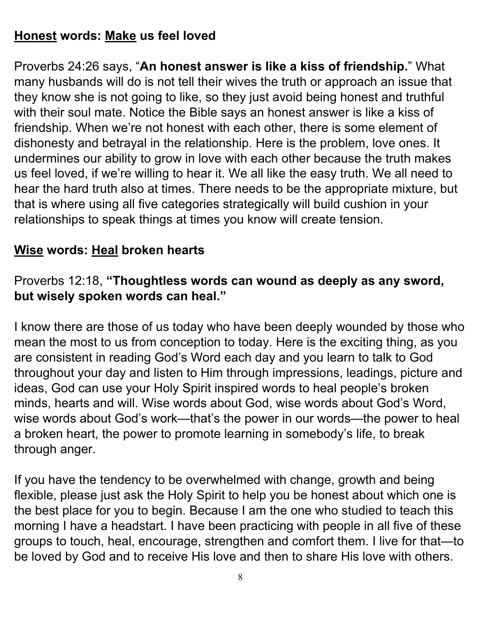### **Honest words: Make us feel loved**

Proverbs 24:26 says, "**An honest answer is like a kiss of friendship.**" What many husbands will do is not tell their wives the truth or approach an issue that they know she is not going to like, so they just avoid being honest and truthful with their soul mate. Notice the Bible says an honest answer is like a kiss of friendship. When we're not honest with each other, there is some element of dishonesty and betrayal in the relationship. Here is the problem, love ones. It undermines our ability to grow in love with each other because the truth makes us feel loved, if we're willing to hear it. We all like the easy truth. We all need to hear the hard truth also at times. There needs to be the appropriate mixture, but that is where using all five categories strategically will build cushion in your relationships to speak things at times you know will create tension.

### **Wise words: Heal broken hearts**

#### Proverbs 12:18, **"Thoughtless words can wound as deeply as any sword, but wisely spoken words can heal."**

I know there are those of us today who have been deeply wounded by those who mean the most to us from conception to today. Here is the exciting thing, as you are consistent in reading God's Word each day and you learn to talk to God throughout your day and listen to Him through impressions, leadings, picture and ideas, God can use your Holy Spirit inspired words to heal people's broken minds, hearts and will. Wise words about God, wise words about God's Word, wise words about God's work—that's the power in our words—the power to heal a broken heart, the power to promote learning in somebody's life, to break through anger.

If you have the tendency to be overwhelmed with change, growth and being flexible, please just ask the Holy Spirit to help you be honest about which one is the best place for you to begin. Because I am the one who studied to teach this morning I have a headstart. I have been practicing with people in all five of these groups to touch, heal, encourage, strengthen and comfort them. I live for that—to be loved by God and to receive His love and then to share His love with others.